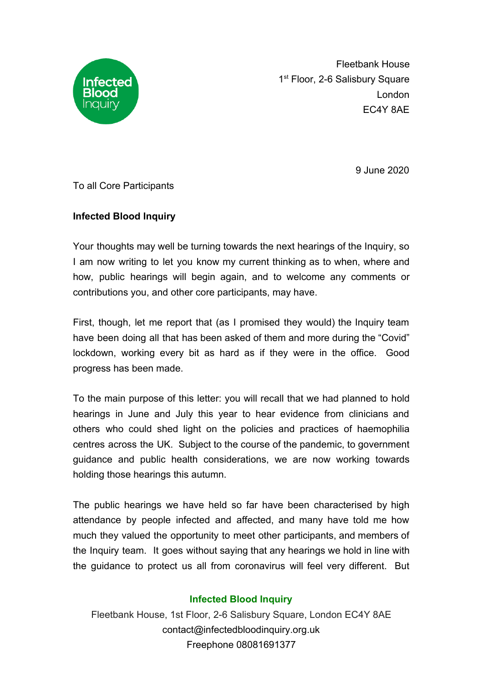

Fleetbank House 1<sup>st</sup> Floor, 2-6 Salisbury Square London EC4Y 8AE

9 June 2020

To all Core Participants

## **Infected Blood Inquiry**

Your thoughts may well be turning towards the next hearings of the Inquiry, so I am now writing to let you know my current thinking as to when, where and how, public hearings will begin again, and to welcome any comments or contributions you, and other core participants, may have.

First, though, let me report that (as I promised they would) the Inquiry team have been doing all that has been asked of them and more during the "Covid" lockdown, working every bit as hard as if they were in the office. Good progress has been made.

To the main purpose of this letter: you will recall that we had planned to hold hearings in June and July this year to hear evidence from clinicians and others who could shed light on the policies and practices of haemophilia centres across the UK. Subject to the course of the pandemic, to government guidance and public health considerations, we are now working towards holding those hearings this autumn.

The public hearings we have held so far have been characterised by high attendance by people infected and affected, and many have told me how much they valued the opportunity to meet other participants, and members of the Inquiry team. It goes without saying that any hearings we hold in line with the guidance to protect us all from coronavirus will feel very different. But

## **Infected Blood Inquiry**

Fleetbank House, 1st Floor, 2-6 Salisbury Square, London EC4Y 8AE contact@infectedbloodinquiry.org.uk Freephone 08081691377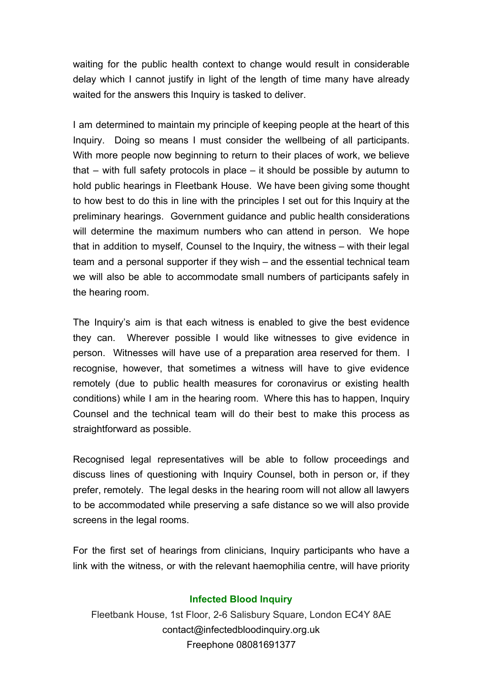waiting for the public health context to change would result in considerable delay which I cannot justify in light of the length of time many have already waited for the answers this Inquiry is tasked to deliver.

I am determined to maintain my principle of keeping people at the heart of this Inquiry. Doing so means I must consider the wellbeing of all participants. With more people now beginning to return to their places of work, we believe that – with full safety protocols in place – it should be possible by autumn to hold public hearings in Fleetbank House. We have been giving some thought to how best to do this in line with the principles I set out for this Inquiry at the preliminary hearings. Government guidance and public health considerations will determine the maximum numbers who can attend in person. We hope that in addition to myself, Counsel to the Inquiry, the witness – with their legal team and a personal supporter if they wish – and the essential technical team we will also be able to accommodate small numbers of participants safely in the hearing room.

The Inquiry's aim is that each witness is enabled to give the best evidence they can. Wherever possible I would like witnesses to give evidence in person. Witnesses will have use of a preparation area reserved for them. I recognise, however, that sometimes a witness will have to give evidence remotely (due to public health measures for coronavirus or existing health conditions) while I am in the hearing room. Where this has to happen, Inquiry Counsel and the technical team will do their best to make this process as straightforward as possible.

Recognised legal representatives will be able to follow proceedings and discuss lines of questioning with Inquiry Counsel, both in person or, if they prefer, remotely. The legal desks in the hearing room will not allow all lawyers to be accommodated while preserving a safe distance so we will also provide screens in the legal rooms.

For the first set of hearings from clinicians, Inquiry participants who have a link with the witness, or with the relevant haemophilia centre, will have priority

## **Infected Blood Inquiry**

Fleetbank House, 1st Floor, 2-6 Salisbury Square, London EC4Y 8AE contact@infectedbloodinquiry.org.uk Freephone 08081691377